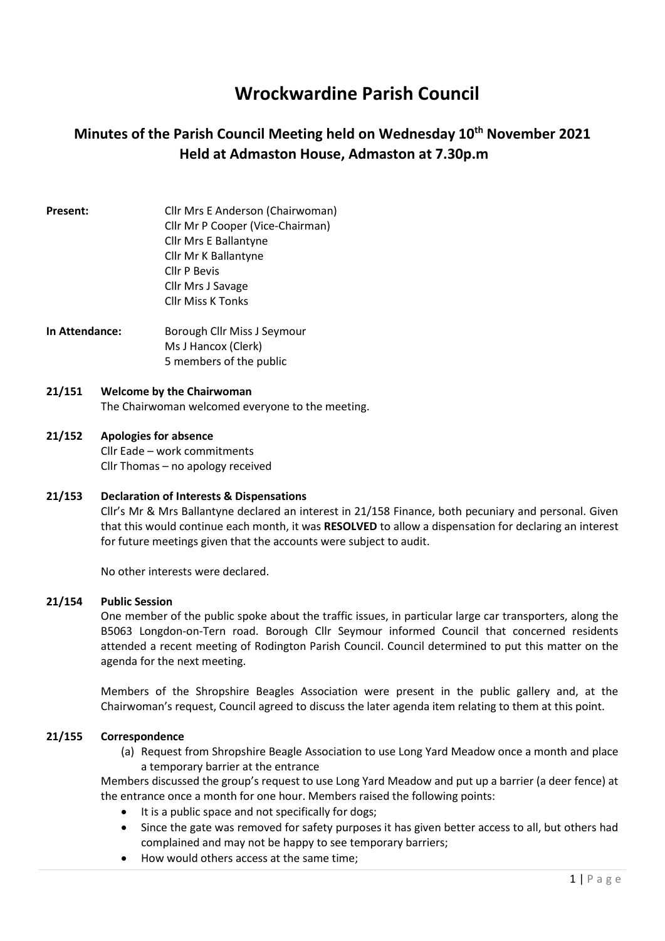# Wrockwardine Parish Council

# Minutes of the Parish Council Meeting held on Wednesday 10<sup>th</sup> November 2021 Held at Admaston House, Admaston at 7.30p.m

# Present: Cllr Mrs E Anderson (Chairwoman) Cllr Mr P Cooper (Vice-Chairman) Cllr Mrs E Ballantyne Cllr Mr K Ballantyne Cllr P Bevis Cllr Mrs J Savage Cllr Miss K Tonks

In Attendance: Borough Cllr Miss J Seymour Ms J Hancox (Clerk) 5 members of the public

# 21/151 Welcome by the Chairwoman

The Chairwoman welcomed everyone to the meeting.

# 21/152 Apologies for absence

Cllr Eade – work commitments Cllr Thomas – no apology received

### 21/153 Declaration of Interests & Dispensations

Cllr's Mr & Mrs Ballantyne declared an interest in 21/158 Finance, both pecuniary and personal. Given that this would continue each month, it was RESOLVED to allow a dispensation for declaring an interest for future meetings given that the accounts were subject to audit.

No other interests were declared.

#### 21/154 Public Session

One member of the public spoke about the traffic issues, in particular large car transporters, along the B5063 Longdon-on-Tern road. Borough Cllr Seymour informed Council that concerned residents attended a recent meeting of Rodington Parish Council. Council determined to put this matter on the agenda for the next meeting.

Members of the Shropshire Beagles Association were present in the public gallery and, at the Chairwoman's request, Council agreed to discuss the later agenda item relating to them at this point.

#### 21/155 Correspondence

(a) Request from Shropshire Beagle Association to use Long Yard Meadow once a month and place a temporary barrier at the entrance

Members discussed the group's request to use Long Yard Meadow and put up a barrier (a deer fence) at the entrance once a month for one hour. Members raised the following points:

- It is a public space and not specifically for dogs;
- Since the gate was removed for safety purposes it has given better access to all, but others had complained and may not be happy to see temporary barriers;
- How would others access at the same time;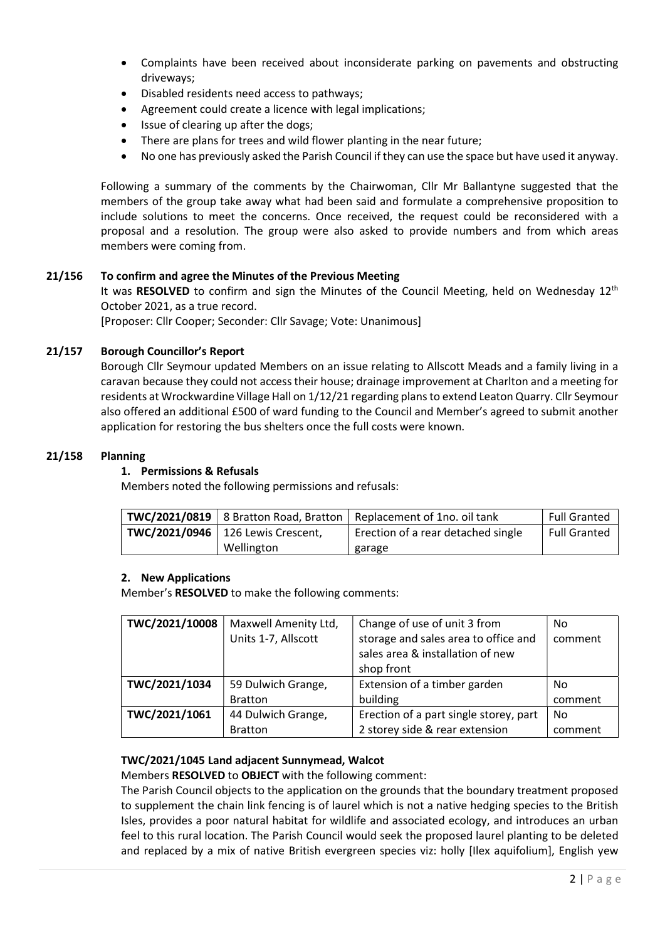- Complaints have been received about inconsiderate parking on pavements and obstructing driveways;
- Disabled residents need access to pathways;
- Agreement could create a licence with legal implications;
- Issue of clearing up after the dogs;
- There are plans for trees and wild flower planting in the near future;
- No one has previously asked the Parish Council if they can use the space but have used it anyway.

Following a summary of the comments by the Chairwoman, Cllr Mr Ballantyne suggested that the members of the group take away what had been said and formulate a comprehensive proposition to include solutions to meet the concerns. Once received, the request could be reconsidered with a proposal and a resolution. The group were also asked to provide numbers and from which areas members were coming from.

#### 21/156 To confirm and agree the Minutes of the Previous Meeting

It was RESOLVED to confirm and sign the Minutes of the Council Meeting, held on Wednesdav 12<sup>th</sup> October 2021, as a true record.

[Proposer: Cllr Cooper; Seconder: Cllr Savage; Vote: Unanimous]

#### 21/157 Borough Councillor's Report

Borough Cllr Seymour updated Members on an issue relating to Allscott Meads and a family living in a caravan because they could not access their house; drainage improvement at Charlton and a meeting for residents at Wrockwardine Village Hall on 1/12/21 regarding plans to extend Leaton Quarry. Cllr Seymour also offered an additional £500 of ward funding to the Council and Member's agreed to submit another application for restoring the bus shelters once the full costs were known.

#### 21/158 Planning

#### 1. Permissions & Refusals

Members noted the following permissions and refusals:

|                                     |            | <b>TWC/2021/0819</b>   8 Bratton Road, Bratton   Replacement of 1no. oil tank | <b>Full Granted</b> |
|-------------------------------------|------------|-------------------------------------------------------------------------------|---------------------|
| TWC/2021/0946   126 Lewis Crescent, |            | Erection of a rear detached single                                            | <b>Full Granted</b> |
|                                     | Wellington | garage                                                                        |                     |

#### 2. New Applications

Member's RESOLVED to make the following comments:

| TWC/2021/10008 | Maxwell Amenity Ltd, | Change of use of unit 3 from                                                           | No.       |
|----------------|----------------------|----------------------------------------------------------------------------------------|-----------|
|                | Units 1-7, Allscott  | storage and sales area to office and<br>sales area & installation of new<br>shop front | comment   |
| TWC/2021/1034  | 59 Dulwich Grange,   | Extension of a timber garden                                                           | No        |
|                | <b>Bratton</b>       | building                                                                               | comment   |
| TWC/2021/1061  | 44 Dulwich Grange,   | Erection of a part single storey, part                                                 | <b>No</b> |
|                | <b>Bratton</b>       | 2 storey side & rear extension                                                         | comment   |

### TWC/2021/1045 Land adjacent Sunnymead, Walcot

Members RESOLVED to OBJECT with the following comment:

The Parish Council objects to the application on the grounds that the boundary treatment proposed to supplement the chain link fencing is of laurel which is not a native hedging species to the British Isles, provides a poor natural habitat for wildlife and associated ecology, and introduces an urban feel to this rural location. The Parish Council would seek the proposed laurel planting to be deleted and replaced by a mix of native British evergreen species viz: holly [Ilex aquifolium], English yew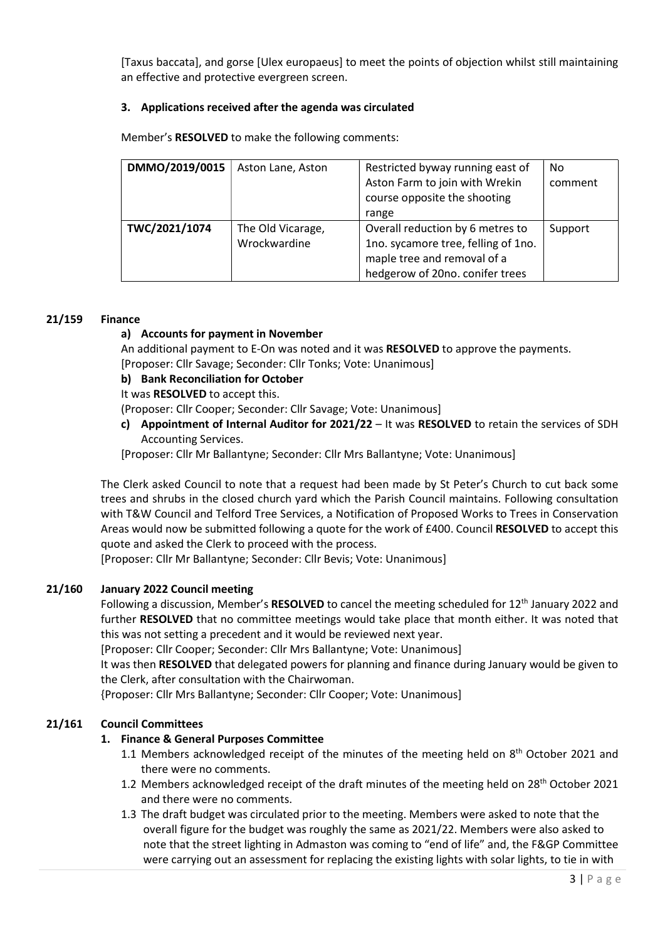[Taxus baccata], and gorse [Ulex europaeus] to meet the points of objection whilst still maintaining an effective and protective evergreen screen.

### 3. Applications received after the agenda was circulated

| DMMO/2019/0015 | Aston Lane, Aston                 | Restricted byway running east of<br>Aston Farm to join with Wrekin<br>course opposite the shooting<br>range                               | No.<br>comment |
|----------------|-----------------------------------|-------------------------------------------------------------------------------------------------------------------------------------------|----------------|
| TWC/2021/1074  | The Old Vicarage,<br>Wrockwardine | Overall reduction by 6 metres to<br>1no. sycamore tree, felling of 1no.<br>maple tree and removal of a<br>hedgerow of 20no. conifer trees | Support        |

Member's RESOLVED to make the following comments:

# 21/159 Finance

# a) Accounts for payment in November

An additional payment to E-On was noted and it was RESOLVED to approve the payments. [Proposer: Cllr Savage; Seconder: Cllr Tonks; Vote: Unanimous]

# b) Bank Reconciliation for October

It was RESOLVED to accept this.

(Proposer: Cllr Cooper; Seconder: Cllr Savage; Vote: Unanimous]

c) Appointment of Internal Auditor for 2021/22 – It was RESOLVED to retain the services of SDH Accounting Services.

[Proposer: Cllr Mr Ballantyne; Seconder: Cllr Mrs Ballantyne; Vote: Unanimous]

The Clerk asked Council to note that a request had been made by St Peter's Church to cut back some trees and shrubs in the closed church yard which the Parish Council maintains. Following consultation with T&W Council and Telford Tree Services, a Notification of Proposed Works to Trees in Conservation Areas would now be submitted following a quote for the work of £400. Council RESOLVED to accept this quote and asked the Clerk to proceed with the process.

[Proposer: Cllr Mr Ballantyne; Seconder: Cllr Bevis; Vote: Unanimous]

# 21/160 January 2022 Council meeting

Following a discussion, Member's RESOLVED to cancel the meeting scheduled for 12<sup>th</sup> January 2022 and further RESOLVED that no committee meetings would take place that month either. It was noted that this was not setting a precedent and it would be reviewed next year.

[Proposer: Cllr Cooper; Seconder: Cllr Mrs Ballantyne; Vote: Unanimous]

It was then RESOLVED that delegated powers for planning and finance during January would be given to the Clerk, after consultation with the Chairwoman.

{Proposer: Cllr Mrs Ballantyne; Seconder: Cllr Cooper; Vote: Unanimous]

# 21/161 Council Committees

### 1. Finance & General Purposes Committee

- 1.1 Members acknowledged receipt of the minutes of the meeting held on 8<sup>th</sup> October 2021 and there were no comments.
- 1.2 Members acknowledged receipt of the draft minutes of the meeting held on 28<sup>th</sup> October 2021 and there were no comments.
- 1.3 The draft budget was circulated prior to the meeting. Members were asked to note that the overall figure for the budget was roughly the same as 2021/22. Members were also asked to note that the street lighting in Admaston was coming to "end of life" and, the F&GP Committee were carrying out an assessment for replacing the existing lights with solar lights, to tie in with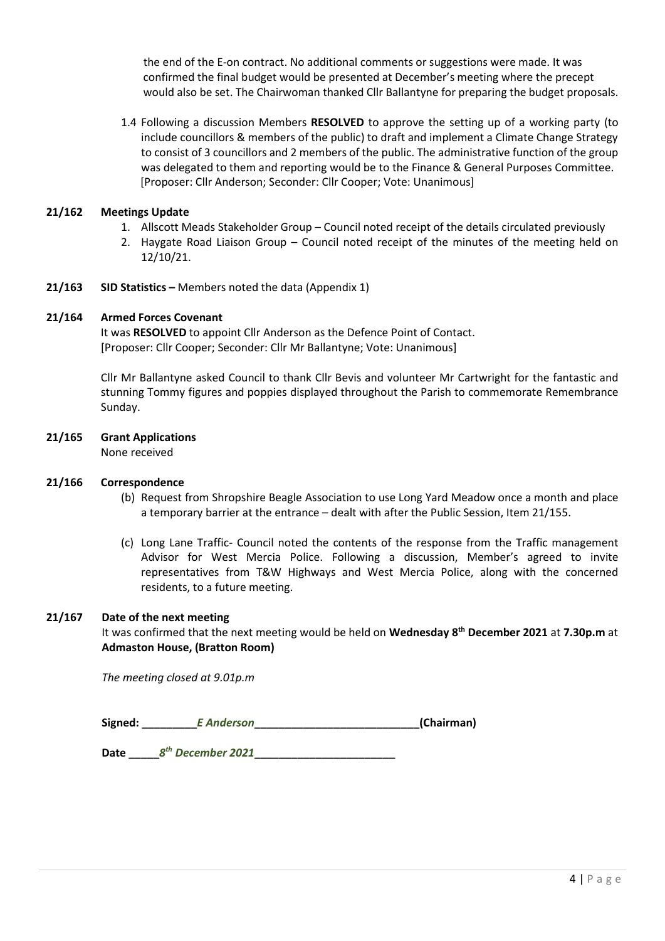the end of the E-on contract. No additional comments or suggestions were made. It was confirmed the final budget would be presented at December's meeting where the precept would also be set. The Chairwoman thanked Cllr Ballantyne for preparing the budget proposals.

1.4 Following a discussion Members RESOLVED to approve the setting up of a working party (to include councillors & members of the public) to draft and implement a Climate Change Strategy to consist of 3 councillors and 2 members of the public. The administrative function of the group was delegated to them and reporting would be to the Finance & General Purposes Committee. [Proposer: Cllr Anderson; Seconder: Cllr Cooper; Vote: Unanimous]

## 21/162 Meetings Update

- 1. Allscott Meads Stakeholder Group Council noted receipt of the details circulated previously
- 2. Haygate Road Liaison Group Council noted receipt of the minutes of the meeting held on 12/10/21.
- 21/163 SID Statistics Members noted the data (Appendix 1)

#### 21/164 Armed Forces Covenant

It was RESOLVED to appoint Cllr Anderson as the Defence Point of Contact. [Proposer: Cllr Cooper; Seconder: Cllr Mr Ballantyne; Vote: Unanimous]

Cllr Mr Ballantyne asked Council to thank Cllr Bevis and volunteer Mr Cartwright for the fantastic and stunning Tommy figures and poppies displayed throughout the Parish to commemorate Remembrance Sunday.

21/165 Grant Applications

None received

### 21/166 Correspondence

- (b) Request from Shropshire Beagle Association to use Long Yard Meadow once a month and place a temporary barrier at the entrance – dealt with after the Public Session, Item 21/155.
- (c) Long Lane Traffic- Council noted the contents of the response from the Traffic management Advisor for West Mercia Police. Following a discussion, Member's agreed to invite representatives from T&W Highways and West Mercia Police, along with the concerned residents, to a future meeting.

### 21/167 Date of the next meeting

It was confirmed that the next meeting would be held on Wednesday 8<sup>th</sup> December 2021 at 7.30p.m at Admaston House, (Bratton Room)

The meeting closed at 9.01p.m

| Signed: | E Anderson | (Chairman) |
|---------|------------|------------|
|---------|------------|------------|

Date \_\_\_\_\_8 th December 2021\_\_\_\_\_\_\_\_\_\_\_\_\_\_\_\_\_\_\_\_\_\_\_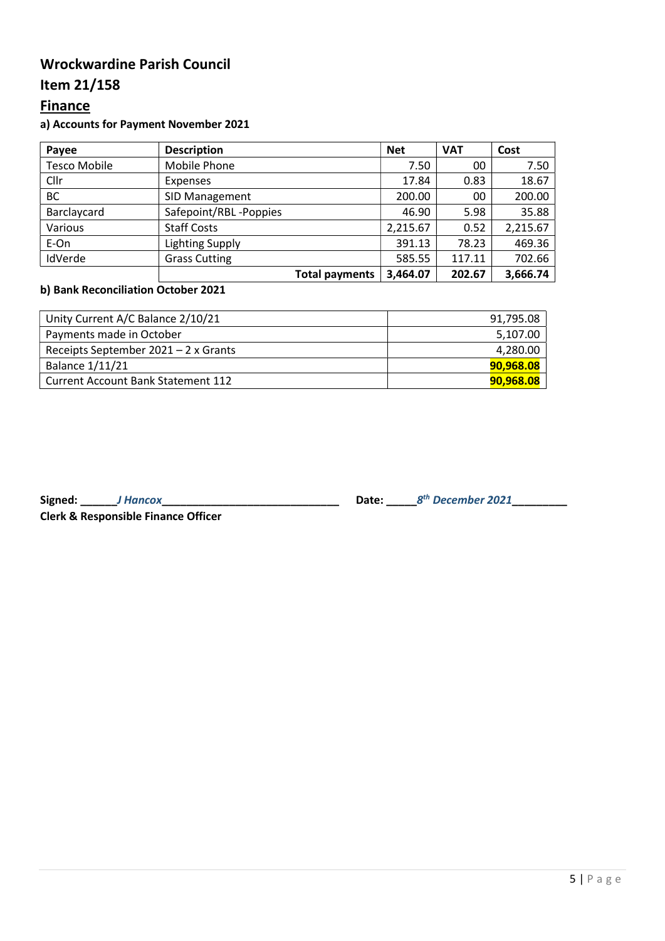# Wrockwardine Parish Council

# Item 21/158

# **Finance**

# a) Accounts for Payment November 2021

| Payee               | <b>Description</b>     | <b>Net</b> | <b>VAT</b> | Cost     |
|---------------------|------------------------|------------|------------|----------|
| <b>Tesco Mobile</b> | Mobile Phone           | 7.50       | 00         | 7.50     |
| Cllr                | <b>Expenses</b>        | 17.84      | 0.83       | 18.67    |
| BC                  | <b>SID Management</b>  | 200.00     | 00         | 200.00   |
| Barclaycard         | Safepoint/RBL-Poppies  | 46.90      | 5.98       | 35.88    |
| Various             | <b>Staff Costs</b>     | 2,215.67   | 0.52       | 2,215.67 |
| E-On                | <b>Lighting Supply</b> | 391.13     | 78.23      | 469.36   |
| IdVerde             | <b>Grass Cutting</b>   | 585.55     | 117.11     | 702.66   |
|                     | <b>Total payments</b>  | 3,464.07   | 202.67     | 3,666.74 |

# b) Bank Reconciliation October 2021

| Unity Current A/C Balance 2/10/21         | 91,795.08 |
|-------------------------------------------|-----------|
| Payments made in October                  | 5,107.00  |
| Receipts September $2021 - 2x$ Grants     | 4,280.00  |
| <b>Balance 1/11/21</b>                    | 90,968.08 |
| <b>Current Account Bank Statement 112</b> | 90,968.08 |

Clerk & Responsible Finance Officer

Signed: \_\_\_\_\_\_J Hancox\_\_\_\_\_\_\_\_\_\_\_\_\_\_\_\_\_\_\_\_\_\_\_\_\_\_\_\_\_ Date: \_\_\_\_\_8 th December 2021\_\_\_\_\_\_\_\_\_